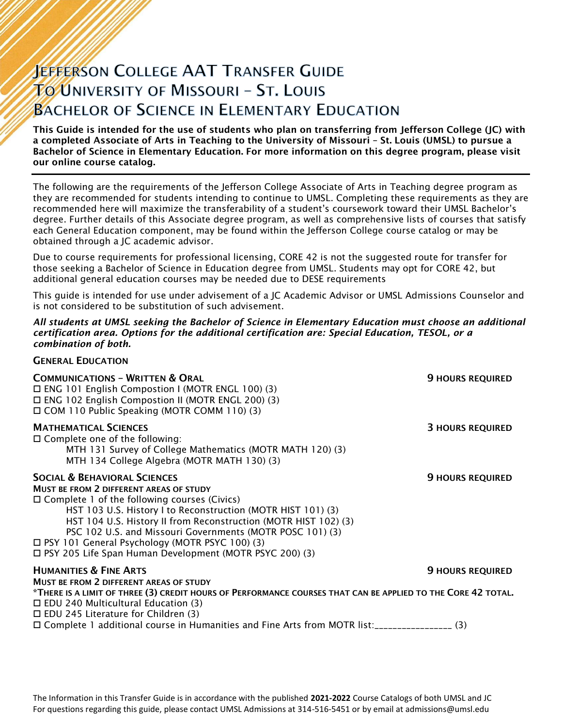# **JEFFERSON COLLEGE AAT TRANSFER GUIDE TO UNIVERSITY OF MISSOURI - ST. LOUIS BACHELOR OF SCIENCE IN ELEMENTARY EDUCATION**

This Guide is intended for the use of students who plan on transferring from Jefferson College (JC) with a completed Associate of Arts in Teaching to the University of Missouri – St. Louis (UMSL) to pursue a Bachelor of Science in Elementary Education. For more information on this degree program, please visit our online course catalog.

The following are the requirements of the Jefferson College Associate of Arts in Teaching degree program as they are recommended for students intending to continue to UMSL. Completing these requirements as they are recommended here will maximize the transferability of a student's coursework toward their UMSL Bachelor's degree. Further details of this Associate degree program, as well as comprehensive lists of courses that satisfy each General Education component, may be found within the Jefferson College course catalog or may be obtained through a JC academic advisor.

Due to course requirements for professional licensing, CORE 42 is not the suggested route for transfer for those seeking a Bachelor of Science in Education degree from UMSL. Students may opt for CORE 42, but additional general education courses may be needed due to DESE requirements

This guide is intended for use under advisement of a JC Academic Advisor or UMSL Admissions Counselor and is not considered to be substitution of such advisement.

#### *All students at UMSL seeking the Bachelor of Science in Elementary Education must choose an additional certification area. Options for the additional certification are: Special Education, TESOL, or a combination of both.*

|  | <b>GENERAL EDUCATION</b> |
|--|--------------------------|
|--|--------------------------|

| <b>COMMUNICATIONS - WRITTEN &amp; ORAL</b><br>$\Box$ ENG 101 English Compostion I (MOTR ENGL 100) (3)<br>□ ENG 102 English Compostion II (MOTR ENGL 200) (3)<br>□ COM 110 Public Speaking (MOTR COMM 110) (3)                                                                                                                                                                                                                                              | <b>9 HOURS REQUIRED</b> |
|------------------------------------------------------------------------------------------------------------------------------------------------------------------------------------------------------------------------------------------------------------------------------------------------------------------------------------------------------------------------------------------------------------------------------------------------------------|-------------------------|
| <b>MATHEMATICAL SCIENCES</b><br>$\Box$ Complete one of the following:<br>MTH 131 Survey of College Mathematics (MOTR MATH 120) (3)<br>MTH 134 College Algebra (MOTR MATH 130) (3)                                                                                                                                                                                                                                                                          | <b>3 HOURS REQUIRED</b> |
| <b>SOCIAL &amp; BEHAVIORAL SCIENCES</b><br>MUST BE FROM 2 DIFFERENT AREAS OF STUDY<br>$\Box$ Complete 1 of the following courses (Civics)<br>HST 103 U.S. History I to Reconstruction (MOTR HIST 101) (3)<br>HST 104 U.S. History II from Reconstruction (MOTR HIST 102) (3)<br>PSC 102 U.S. and Missouri Governments (MOTR POSC 101) (3)<br>□ PSY 101 General Psychology (MOTR PSYC 100) (3)<br>□ PSY 205 Life Span Human Development (MOTR PSYC 200) (3) | <b>9 HOURS REQUIRED</b> |
| <b>HUMANITIES &amp; FINE ARTS</b><br>MUST BE FROM 2 DIFFERENT AREAS OF STUDY                                                                                                                                                                                                                                                                                                                                                                               | <b>9 HOURS REQUIRED</b> |
| *THERE IS A LIMIT OF THREE (3) CREDIT HOURS OF PERFORMANCE COURSES THAT CAN BE APPLIED TO THE CORE 42 TOTAL.<br>$\Box$ EDU 240 Multicultural Education (3)<br>$\Box$ EDU 245 Literature for Children (3)                                                                                                                                                                                                                                                   |                         |
| □ Complete 1 additional course in Humanities and Fine Arts from MOTR list:__________________(3)                                                                                                                                                                                                                                                                                                                                                            |                         |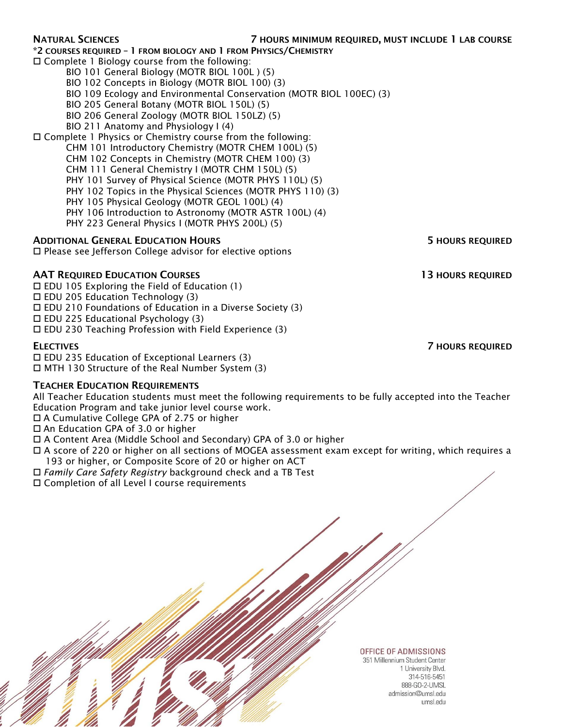\*2 COURSES REQUIRED – 1 FROM BIOLOGY AND 1 FROM PHYSICS/CHEMISTRY

Complete 1 Biology course from the following:

BIO 101 General Biology (MOTR BIOL 100L ) (5)

BIO 102 Concepts in Biology (MOTR BIOL 100) (3)

BIO 109 Ecology and Environmental Conservation (MOTR BIOL 100EC) (3)

BIO 205 General Botany (MOTR BIOL 150L) (5)

BIO 206 General Zoology (MOTR BIOL 150LZ) (5)

BIO 211 Anatomy and Physiology I (4)

Complete 1 Physics or Chemistry course from the following:

CHM 101 Introductory Chemistry (MOTR CHEM 100L) (5) CHM 102 Concepts in Chemistry (MOTR CHEM 100) (3) CHM 111 General Chemistry I (MOTR CHM 150L) (5) PHY 101 Survey of Physical Science (MOTR PHYS 110L) (5) PHY 102 Topics in the Physical Sciences (MOTR PHYS 110) (3) PHY 105 Physical Geology (MOTR GEOL 100L) (4) PHY 106 Introduction to Astronomy (MOTR ASTR 100L) (4)

PHY 223 General Physics I (MOTR PHYS 200L) (5)

### ADDITIONAL GENERAL EDUCATION HOURS **5 HOURS 5 HOURS REQUIRED**

 $\square$  Please see Jefferson College advisor for elective options

### AAT REQUIRED EDUCATION COURSES **13 HOURS REQUIRED**

EDU 105 Exploring the Field of Education (1)

 $\Box$  EDU 205 Education Technology (3)

 $\Box$  EDU 210 Foundations of Education in a Diverse Society (3)

 $\Box$  EDU 225 Educational Psychology (3)

 $\Box$  EDU 230 Teaching Profession with Field Experience (3)

 $\square$  EDU 235 Education of Exceptional Learners (3) MTH 130 Structure of the Real Number System (3)

### TEACHER EDUCATION REQUIREMENTS

All Teacher Education students must meet the following requirements to be fully accepted into the Teacher Education Program and take junior level course work.

A Cumulative College GPA of 2.75 or higher

□ An Education GPA of 3.0 or higher

A Content Area (Middle School and Secondary) GPA of 3.0 or higher

 A score of 220 or higher on all sections of MOGEA assessment exam except for writing, which requires a 193 or higher, or Composite Score of 20 or higher on ACT

*Family Care Safety Registry* background check and a TB Test

Completion of all Level I course requirements

#### OFFICE OF ADMISSIONS 351 Millennium Student Center

1 University Blvd. 314-516-5451 888-GO-2-LIMSL The Information in this Transfer Guide is in accordance with the published **2021-2022** Course Catalog of Both UMSL and JC and JC and JC and JC and JC and JC and JC and JC and JC and JC and JC and JC and JC and JC and JC an For questions regarding this guide, please contact UMSL Admissions at 314-516-5451 or by email at admissions@umsl.edu

ELECTIVES 7 HOURS REQUIRED